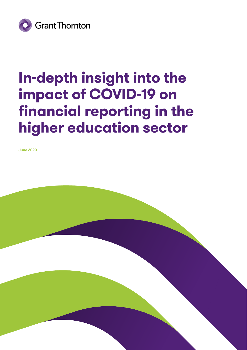

# **In-depth insight into the impact of COVID-19 on financial reporting in the higher education sector**

**June 2020**

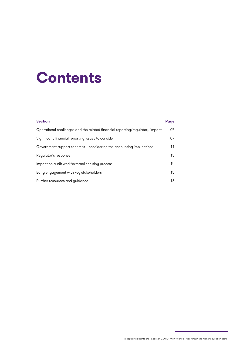## **Contents**

| <b>Section</b>                                                               | Page |
|------------------------------------------------------------------------------|------|
| Operational challenges and the related financial reporting/regulatory impact | 05   |
| Significant financial reporting issues to consider                           | 07   |
| Government support schemes – considering the accounting implications         | 11   |
| Regulator's response                                                         | 13   |
| Impact on audit work/external scrutiny process                               | 14   |
| Early engagement with key stakeholders                                       | 15   |
| Further resources and guidance                                               | 16   |

In-depth insight into the impact of COVID-19 on financial reporting in the higher education sector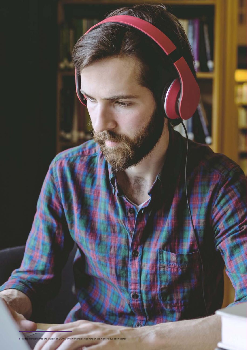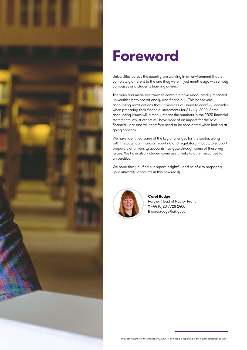

## **Foreword**

Universities across the country are working in an environment that is completely different to the one they were in just months ago with empty campuses and students learning online.

The virus and measures taken to contain it have undoubtedly impacted universities both operationally and financially. This has several accounting ramifications that universities will need to carefully consider when preparing their financial statements for 31 July 2020. Some accounting issues will directly impact the numbers in the 2020 financial statements, whilst others will have more of an impact for the next financial year and will therefore need to be considered when looking at going concern.

We have identified some of the key challenges for the sector, along with the potential financial reporting and regulatory impact, to support preparers of university accounts navigate through some of these key issues. We have also included some useful links to other resources for universities.

We hope that you find our report insightful and helpful to preparing your university accounts in this new reality.



**Carol Rudge**  Partner, Head of Not for Profit **T** +44 (0)20 7728 2400 **E** carol.rudge@uk.gt.com

In-depth insight into the impact of COVID-19 on financial reporting in the higher education sector 4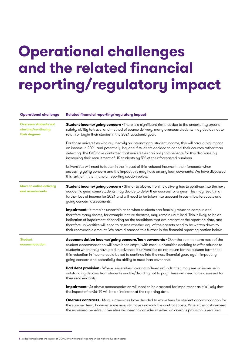# **Operational challenges and the related financial reporting/regulatory impact**

| <b>Operational challenge</b>                                         | <b>Related financial reporting/regulatory impact</b>                                                                                                                                                                                                                                                                                                                                                                                                                                                                 |  |  |
|----------------------------------------------------------------------|----------------------------------------------------------------------------------------------------------------------------------------------------------------------------------------------------------------------------------------------------------------------------------------------------------------------------------------------------------------------------------------------------------------------------------------------------------------------------------------------------------------------|--|--|
| <b>Overseas students not</b><br>starting/continuing<br>their degrees | Student income/going concern - There is a significant risk that due to the uncertainty around<br>safety, ability to travel and method of course delivery, many overseas students may decide not to<br>return or begin their studies in the 2021 academic year.                                                                                                                                                                                                                                                       |  |  |
|                                                                      | For those universities who rely heavily on international student income, this will have a big impact<br>on income in 2021 and potentially beyond if students decided to cancel their courses rather than<br>deferring. The OfS have confirmed that universities can only compensate for this decrease by<br>increasing their recruitment of UK students by 5% of their forecasted numbers.                                                                                                                           |  |  |
|                                                                      | Universities will need to factor in the impact of this reduced income in their forecasts when<br>assessing going concern and the impact this may have on any loan covenants. We have discussed<br>this further in the financial reporting section below.                                                                                                                                                                                                                                                             |  |  |
| <b>Move to online delivery</b><br>and assessments                    | Student income/going concern - Similar to above, if online delivery has to continue into the next<br>academic year, some students may decide to defer their courses for a year. This may result in a<br>further loss of income for 2021 and will need to be taken into account in cash flow forecasts and<br>going concern assessments.                                                                                                                                                                              |  |  |
|                                                                      | <b>Impairment</b> - It remains uncertain as to when students can feasibly return to campus and<br>therefore many assets, for example lecture theatres, may remain unutilised. This is likely to be an<br>indication of impairment depending on the conditions that are present at the reporting date, and<br>therefore universities will need to assess whether any of their assets need to be written down to<br>their recoverable amount. We have discussed this further in the financial reporting section below. |  |  |
| <b>Student</b><br>accommodation                                      | Accommodation income/going concern/loan covenants - Over the summer term most of the<br>student accommodation will have been empty with many universities deciding to offer refunds to<br>students where they have paid in advance. If universities do not return for the autumn term then<br>this reduction in income could be set to continue into the next financial year, again impacting<br>going concern and potentially the ability to meet loan covenants.                                                   |  |  |
|                                                                      | Bad debt provision - Where universities have not offered refunds, they may see an increase in<br>outstanding debtors from students unable/deciding not to pay. These will need to be assessed for<br>their recoverability.                                                                                                                                                                                                                                                                                           |  |  |
|                                                                      | Impairment - As above accommodation will need to be assessed for impairment as it is likely that<br>the impact of covid-19 will be an indicator at the reporting date.                                                                                                                                                                                                                                                                                                                                               |  |  |
|                                                                      | <b>Onerous contracts -</b> Many universities have decided to waive fees for student accommodation for<br>the summer term, however some may still have unavoidable contract costs. Where the costs exceed<br>the economic benefits universities will need to consider whether an onerous provision is required.                                                                                                                                                                                                       |  |  |

<sup>5</sup> In-depth insight into the impact of COVID-19 on financial reporting in the higher education sector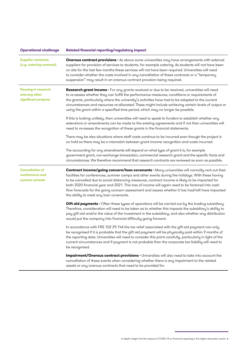| <b>Operational challenge</b>                                        | <b>Related financial reporting/regulatory impact</b><br><b>Onerous contract provisions</b> - As above some universities may have arrangements with external<br>suppliers for provision of services to students, for example catering. As students will not have been<br>on site for the last few months these services will not have been required. Universities will need<br>to consider whether the costs involved in any cancellation of these contracts or a "temporary<br>suspension" may result in an onerous contract provision being required. |  |  |
|---------------------------------------------------------------------|--------------------------------------------------------------------------------------------------------------------------------------------------------------------------------------------------------------------------------------------------------------------------------------------------------------------------------------------------------------------------------------------------------------------------------------------------------------------------------------------------------------------------------------------------------|--|--|
| <b>Supplier contracts</b><br>(e.g. catering contract)               |                                                                                                                                                                                                                                                                                                                                                                                                                                                                                                                                                        |  |  |
| <b>Pausing in research</b><br>and any other<br>significant projects | Research grant income - For any grants received or due to be received, universities will need<br>to re-assess whether they can fulfill the performance measures, conditions or requirements of<br>the grants, particularly where the university's activities have had to be adapted to the current<br>circumstances and resources re-allocated. These might include achieving certain levels of output or<br>using the grant within a specified time period, which may no longer be possible.                                                          |  |  |
|                                                                     | If this is looking unlikely, then universities will need to speak to funders to establish whether any<br>extensions or amendments can be made to the existing agreements and if not then universities will<br>need to re-assess the recognition of these grants in the financial statements.                                                                                                                                                                                                                                                           |  |  |
|                                                                     | There may be also situations where staff costs continue to be incurred even though the project is<br>on hold so there may be a mismatch between grant income recognition and costs incurred.                                                                                                                                                                                                                                                                                                                                                           |  |  |
|                                                                     | The accounting for any amendments will depend on what type of grant it is, for example<br>government grant, non-exchange transaction, commercial research grant and the specific facts and<br>circumstances. We therefore recommend that research contracts are reviewed as soon as possible.                                                                                                                                                                                                                                                          |  |  |
| <b>Cancellation of</b><br>conferences and<br>summer schools         | Contract income/going concern/loan covenants - Many universities will normally rent out their<br>facilities for conferences, summer camps and other events during the holidays. With these having<br>to be cancelled due to social distancing measures, contract income is likely to be impacted for<br>both 2020 financial year and 2021. This loss of income will again need to be factored into cash<br>flow forecasts for the going concern assessment and assess whether it has had/will have impacted<br>the ability to meet any loan covenants. |  |  |
|                                                                     | <b>Gift aid payments</b> - Often these types of operations will be carried out by the trading subsidiary.<br>Therefore, consideration will need to be taken as to whether this impacts the subsidiary's ability to<br>pay gift aid and/or the value of the investment in the subsidiary, and also whether any distribution<br>would put the company into financial difficulty going forward.                                                                                                                                                           |  |  |
|                                                                     | In accordance with FRS 102 29.14A the tax relief associated with the gift aid payment can only<br>be recognised if it is probable that the gift aid payment will be physically paid within 9 months of<br>the reporting date. Universities will need to consider this point carefully, particularly in light of the<br>current circumstances and if payment is not probable then the corporate tax liability will need to<br>be recognised.                                                                                                            |  |  |
|                                                                     | Impairment/Onerous contract provisions - Universities will also need to take into account the<br>cancellation of these events when considering whether there is any impairment to the related                                                                                                                                                                                                                                                                                                                                                          |  |  |

assets or any onerous contracts that need to be provided for.

In-depth insight into the impact of COVID-19 on financial reporting in the higher education sector 6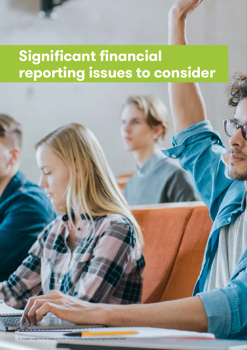# **Significant financial reporting issues to consider**

7 In-depth insight into the impact of COVID-19 on financial reporting in the higher education sector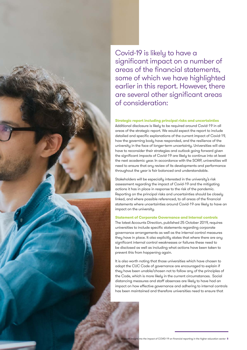

Covid-19 is likely to have a significant impact on a number of areas of the financial statements, some of which we have highlighted earlier in this report. However, there are several other significant areas of consideration:

## **Strategic report including principal risks and uncertainties**

Additional disclosure is likely to be required around Covid-19 in all areas of the strategic report. We would expect the report to include detailed and specific explanations of the current impact of Covid-19, how the governing body have responded, and the resilience of the university in the face of longer-term uncertainty. Universities will also have to reconsider their strategies and outlook going forward given the significant impacts of Covid-19 are likely to continue into at least the next academic year. In accordance with the SORP, universities will need to ensure that any review of its developments and performance throughout the year is fair balanced and understandable.

Stakeholders will be especially interested in the university's risk assessment regarding the impact of Covid-19 and the mitigating actions it has in place in response to the risk of the pandemic. Reporting on the principal risks and uncertainties should be closely linked, and where possible referenced, to all areas of the financial statements where uncertainties around Covid-19 are likely to have an impact on the university.

### **Statement of Corporate Governance and Internal controls**

The latest Accounts Direction, published 25 October 2019, requires universities to include specific statements regarding corporate governance arrangements as well as the internal control measures they have in place. It also explicitly states that where there are any significant internal control weaknesses or failures these need to be disclosed as well as including what actions have been taken to prevent this from happening again.

It is also worth noting that those universities which have chosen to adopt the CUC Code of governance are encouraged to explain if they have been unable/chosen not to follow any of the principles of the Code, which is more likely in the current circumstances. Social distancing measures and staff absences are likely to have had an impact on how effective governance and adhering to internal controls has been maintained and therefore universities need to ensure that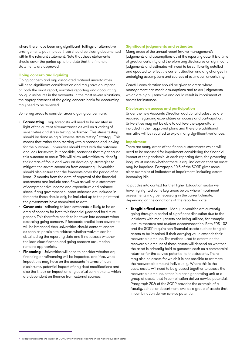where there have been any significant failings or alternative arrangements put in place these should be clearly documented within the relevant statement. Note that these statements should cover the period up to the date that the financial statements are approved.

## **Going concern and liquidity**

Going concern and any associated material uncertainties will need significant consideration and may have an impact on both the audit report, narrative reporting and accounting policy disclosures in the accounts. In the most severe situations, the appropriateness of the going concern basis for accounting may need to be reviewed.

Some key areas to consider around going concern are:

- **Forecasting** any forecasts will need to be revisited in light of the current circumstances as well as a variety of sensitivities and stress testing performed. This stress testing should be done using a "reverse stress testing" strategy. This means that rather than starting with a scenario and looking for the outcome, universities should start with the outcome and look for severe, but possible, scenarios that might cause this outcome to occur. This will allow universities to identify their areas of focus and work on developing strategies to mitigate the severe scenarios from occurring. Universities should also ensure that the forecasts cover the period of at least 12 months from the date of approval of the financial statements and include cash flows as well as a statement of comprehensive income and expenditure and balance sheet. If any government support schemes are included in forecasts these should only be included up to the point that the government have committed to date.
- **Covenants** –Adhering to loan covenants is likely to be an area of concern for both this financial year and for future periods. This therefore needs to be taken into account when assessing going concern. If forecasts predict loan covenants will be breached then universities should contact lenders as soon as possible to address whether waivers can be obtained by the reporting date and if not assess whether the loan classification and going concern assumption remains appropriate.
- **Financing** Universities will need to consider whether any financing or refinancing will be impacted, and if so, what impact this may have on the accounts in terms of loan disclosures, potential impact of any debt modifications and also the knock on impact on any capital commitments which are dependent on finance from external sources.

#### **Significant judgements and estimates**

Many areas of the annual report involve management's judgements and assumptions as of the reporting date. It is a time of great uncertainty and therefore any disclosures on significant judgements and estimates will need to be sufficiently detailed and updated to reflect the current situation and any changes in underlying assumptions and sources of estimation uncertainty.

Careful consideration should be given to areas where management has made assumptions and taken judgements which are highly sensitive and could result in impairment of assets for instance.

### **Disclosure on access and participation**

Under the new Accounts Direction additional disclosures are required regarding expenditure on access and participation. Universities may not be able to achieve the expenditure included in their approved plans and therefore additional narrative will be required to explain any significant variances.

#### **Impairment**

There are many areas of the financial statements which will need to be assessed for impairment considering the financial impact of the pandemic. At each reporting date, the governing body must assess whether there is any indication that an asset may be impaired. Paragraph 20.5 of the SORP gives some clear examples of indicators of impairment, including assets becoming idle.

To put this into context for the Higher Education sector we have highlighted some key areas below where impairment assessments may be necessary in the current climate, depending on the conditions at the reporting date.

**Tangible fixed assets** - Many universities are currently going through a period of significant disruption due to the lockdown with many assets not being utilised, for example lecture theatres and student accommodation. Both FRS 102 and the SORP require non-financial assets such as tangible assets to be impaired if their carrying value exceeds their recoverable amount. The method used to determine the recoverable amount of these assets will depend on whether the asset is primarily held to generate cash as a commercial return or for the service potential to the students. There may also be assets for which it is not possible to estimate the recoverable amount individually. Where this is the case, assets will need to be grouped together to assess the recoverable amount, either in a cash generating unit or a group of assets that in combination deliver service potential. Paragraph 20.4 of the SORP provides the example of a faculty, school or department level as a group of assets that in combination deliver service potential.

<sup>9</sup> In-depth insight into the impact of COVID-19 on financial reporting in the higher education sector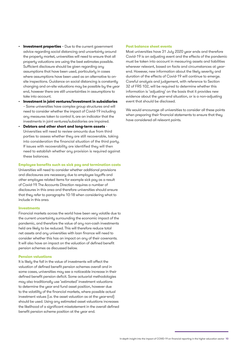- **Investment properties** Due to the current government advice regarding social distancing and uncertainty around the property market, universities will need to ensure that all property valuations are using the best estimates possible. Sufficient disclosure should be given regarding any assumptions that have been used, particularly in cases where assumptions have been used as an alternative to onsite inspections. Guidance on social distancing is constantly changing and on-site valuations may be possible by the year end, however there are still uncertainties in assumptions to take into account.
- **Investment in joint ventures/investment in subsidiaries**  – Some universities have complex group structures and will need to consider whether the impact of Covid-19 including any measures taken to control it, are an indicator that the investments in joint ventures/subsidiaries are impaired.
- **Debtors and other short and long-term assets** Universities will need to review amounts due from third parties to assess whether they are still recoverable, taking into consideration the financial situation of the third party. If issues with recoverability are identified they will then need to establish whether any provision is required against these balances.

### **Employee benefits such as sick pay and termination costs**

Universities will need to consider whether additional provisions and disclosures are necessary due to employee layoffs and other employee related items for example sick pay as a result of Covid-19. The Accounts Direction requires a number of disclosures in this area and therefore universities should ensure that they refer to paragraphs 10-18 when considering what to include in this area.

## **Investments**

Financial markets across the world have been very volatile due to the current uncertainty surrounding the economic impact of the pandemic, and therefore the value of any non-cash investments held are likely to be reduced. This will therefore reduce total net assets and any universities with loan finance will need to consider whether this has an impact on any of their covenants. It will also have an impact on the valuation of defined benefit pension schemes as discussed below.

### **Pension valuations**

It is likely the fall in the value of investments will affect the valuation of defined benefit pension schemes overall and in some cases, universities may see a noticeable increase in their defined benefit pension deficit. Some actuarial methodologies may also traditionally use 'estimated' investment valuations to determine the year end fund asset position, however due to the volatility of the financial markets, where possible actual investment values (i.e. the asset valuation as at the year-end) should be used. Using any estimated asset valuations increases the likelihood of a significant misstatement in the overall defined benefit pension scheme position at the year end.

#### **Post balance sheet events**

Most universities have 31 July 2020 year ends and therefore Covid-19 is an adjusting event and the effects of the pandemic must be taken into account in measuring assets and liabilities wherever relevant, based on facts and circumstances at yearend. However, new information about the likely severity and duration of the effects of Covid-19 will continue to emerge. Careful analysis and judgement, with reference to Section 32 of FRS 102, will be required to determine whether this information is 'adjusting' on the basis that it provides new evidence about the year-end situation, or is a non-adjusting event that should be disclosed.

We would encourage all universities to consider all these points when preparing their financial statements to ensure that they have considered all relevant points.

In-depth insight into the impact of COVID-19 on financial reporting in the higher education sector 10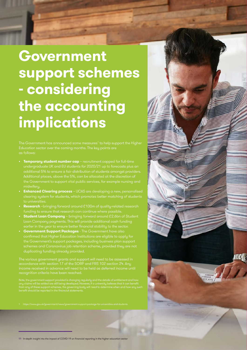## **Government support schemes - considering the accounting implications**

The Government has announced some measures<sup>1</sup> to help support the Higher as follows:

- **• Temporary student number cap** recruitment capped for full-time undergraduate UK and EU students for 2020/21 up to forecasts plus an additional 5% to ensure a fair distribution of students amongst providers. Additional places, above the 5%, can be allocated at the discretion of the Government to support vital public services, for example nursing and
- **• Enhanced Clearing process** UCAS are developing a new, personalised
- **• Research** –bringing forward around £100m of quality-related research
- **• Student Loan Company** bringing forward around £2.6bn of Student Loan Company payments. This will provide additional cash funding
- **• Government Support Packages** The Government have also confirmed that Higher Education Institutions are eligible to apply for the Government's support packages, including business plan support duplicating funding already provided.

The various government grants and support will need to be assessed in accordance with section 17 of the SORP and FRS 102 section 24. Any



11 In-depth insight into the impact of COVID-19 on financial reporting in the higher education sector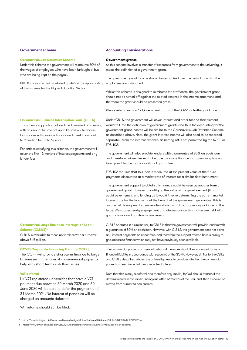| <b>Government scheme</b>                                                                                                                                                                                                                                                                        | <b>Accounting considerations</b>                                                                                                                                                                                                                                                                                                                                                                                                                                                                                                                                  |  |  |
|-------------------------------------------------------------------------------------------------------------------------------------------------------------------------------------------------------------------------------------------------------------------------------------------------|-------------------------------------------------------------------------------------------------------------------------------------------------------------------------------------------------------------------------------------------------------------------------------------------------------------------------------------------------------------------------------------------------------------------------------------------------------------------------------------------------------------------------------------------------------------------|--|--|
| <b>Coronavirus Job Retention Scheme</b><br>Under this scheme the government will reimburse 80% of<br>the wages of employees who have been furloughed, but<br>who are being kept on the payroll.                                                                                                 | <b>Government grants</b><br>As this scheme involves a transfer of resources from government to the university, it<br>meets the definition of a government grant.                                                                                                                                                                                                                                                                                                                                                                                                  |  |  |
| BUFDG have created a detailed guide <sup>2</sup> on the applicability<br>of this scheme for the Higher Education Sector.                                                                                                                                                                        | The government grant income should be recognised over the period for which the<br>employees are furloughed.<br>Whilst this scheme is designed to reimburse the staff costs, the government grant<br>should not be netted off against the related expense in the income statement, and<br>therefore the grant should be presented gross.                                                                                                                                                                                                                           |  |  |
|                                                                                                                                                                                                                                                                                                 | Please refer to section 17 Government grants of the SORP for further guidance.                                                                                                                                                                                                                                                                                                                                                                                                                                                                                    |  |  |
| <b>Coronavirus Business Interruption Loan (CBILS)</b><br>This scheme supports small and medium-sized businesses,<br>with an annual turnover of up to £45million, to access<br>loans, overdrafts, invoice finance and asset finance of up<br>to £5 million for up to 6 years.                    | Under CBILS, the government will cover interest and other fees so that element<br>would fall into the definition of government grants and thus the accounting for the<br>government grant income will be similar to the Coronavirus Job Retention Scheme<br>as described above. Note, the grant interest income will also need to be recorded<br>separately from the interest expense, as netting off is not permitted by the SORP or<br>FRS 102.                                                                                                                 |  |  |
| For entities satisfying this criterion, the government will<br>cover the first 12 months of interest payments and any<br>lender fees.                                                                                                                                                           | The government will also provide lenders with a guarantee of 80% on each loan<br>and therefore universities might be able to access finance that previously has not<br>been possible due to this additional guarantee.                                                                                                                                                                                                                                                                                                                                            |  |  |
|                                                                                                                                                                                                                                                                                                 | FRS 102 requires that this loan is measured at the present value of the future<br>payments discounted at a market rate of interest for a similar debt instrument.                                                                                                                                                                                                                                                                                                                                                                                                 |  |  |
|                                                                                                                                                                                                                                                                                                 | The government support to obtain this finance could be seen as another form of<br>government grant. However quantifying the value of the grant element (if any)<br>could be extremely challenging as it would involve determining the current market<br>interest rate for the loan without the benefit of the government guarantee. This is<br>an area of development so universities should watch out for more guidance on this<br>issue. We suggest early engagement and discussions on this matter are held with<br>your advisors and auditors where relevant. |  |  |
| <b>Coronavirus Large Business Interruption Loan</b><br>Scheme (CLBILS) <sup>3</sup><br>CLBILS is available to those universities with a turnover<br>above £45 million.                                                                                                                          | CLBILS operates in a similar way to CBILS in that the government will provide lenders with<br>a guarantee of 80% on each loan. However, with CLBILS, the government does not cover<br>any interest payments or lender fees, and therefore the support offered here is purely to<br>give access to finance which may not have previously been available.                                                                                                                                                                                                           |  |  |
| <b>COVID Corporate Financing Facility (CCFF)</b><br>The CCFF will provide short-term finance to large<br>businesses in the form of a commercial paper to<br>help with short-term cash flow issues.                                                                                              | The commercial paper is an issue of debt and therefore should be accounted for as a<br>financial liability in accordance with section 6 of the SORP. However, similar to the CBILS<br>and CLBILS described above, the university needs to consider whether the commercial<br>paper has been issued at a market rate of interest.                                                                                                                                                                                                                                  |  |  |
| <b>VAT deferral</b><br>UK VAT registered universities that have a VAT<br>payment due between 20 March 2020 and 30<br>June 2020 will be able to defer the payment until<br>31 March 2021. No interest of penalties will be<br>charged on amounts deferred.<br>VAT returns should still be filed. | Note that this is only a deferral and therefore any liability for VAT should remain. If the<br>deferral results in the liability being due after 12 months of the year end, then it should be<br>moved from current to non-current.                                                                                                                                                                                                                                                                                                                               |  |  |

2 https://www.bufdg.ac.uk/Resources/News/View?g=b8bfc6f5-4664-4989-9cce-d03a4b589213&t=BUFDG%20Jo

3 https://www.british-business-bank.co.uk/ourpartners/coronavirus-business-interruption-loan-schemes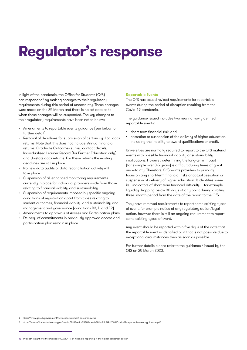## **Regulator's response**

In light of the pandemic, the Office for Students (OfS) has responded<sup>4</sup> by making changes to their regulatory requirements during this period of uncertainty. These changes were made on the 25 March and there is no set date as to when these changes will be suspended. The key changes to their regulatory requirements have been noted below:

- Amendments to reportable events guidance (see below for further detail)
- Removal of deadlines for submission of certain cyclical data returns. Note that this does not include: Annual financial returns, Graduate Outcomes survey contact details, Individualised Learner Record (for Further Education only) and Unistats data returns. For these returns the existing deadlines are still in place.
- No new data audits or data reconciliation activity will take place
- Suspension of all enhanced monitoring requirements currently in place for individual providers aside from those relating to financial viability and sustainability
- Suspension of requirements imposed by specific ongoing conditions of registration apart from those relating to student outcomes, financial viability and sustainability and management and governance (conditions B3, D and E2)
- Amendments to approvals of Access and Participation plans
- Delivery of commitments in previously approved access and participation plan remain in place

### **Reportable Events**

The OfS has issued revised requirements for reportable events during the period of disruption resulting from the Covid-19 pandemic.

The guidance issued includes two new narrowly defined reportable events:

- short-term financial risk; and
- cessation or suspension of the delivery of higher education, including the inability to award qualifications or credit.

Universities are normally required to report to the OfS material events with possible financial viability or sustainability implications. However, determining the long-term impact (for example over 3-5 years) is difficult during times of great uncertainty. Therefore, OfS wants providers to primarily focus on any short-term financial risks or actual cessation or suspension of delivery of higher education. It identifies some key indicators of short-term financial difficulty – for example liquidity dropping below 30 days at any point during a rolling three- month period from the date of the report to the OfS.

They have removed requirements to report some existing types of event, for example notice of any regulatory action/legal action, however there is still an ongoing requirement to report some existing types of event.

Any event should be reported within five days of the date that the reportable event is identified or, if that is not possible due to exceptional circumstances then as soon as possible.

For further details please refer to the guidance <sup>5</sup> issued by the OfS on 25 March 2020.

4 https://www.gov.uk/government/news/rsh-statement-on-coronavirus

<sup>5</sup> https://www.officeforstudents.org.uk/media/5b874e9b-5588-4bec-b386-d83d59a20401/covid-19-reportable-events-guidance.pdf

<sup>13</sup> In-depth insight into the impact of COVID-19 on financial reporting in the higher education sector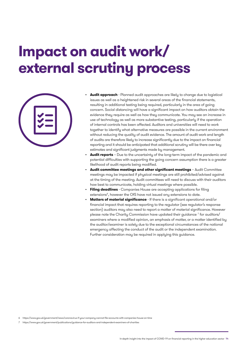# **Impact on audit work/ external scrutiny process**

- **Audit approach** Planned audit approaches are likely to change due to logistical issues as well as a heightened risk in several areas of the financial statements, resulting in additional testing being required, particularly in the area of going concern. Social distancing will have a significant impact on how auditors obtain the evidence they require as well as how they communicate. You may see an increase in use of technology as well as more substantive testing, particularly if the operation of internal controls has been affected. Auditors and universities will need to work together to identify what alternative measures are possible in the current environment without reducing the quality of audit evidence. The amount of audit work and length of audits are therefore likely to increase significantly due to the impact on financial reporting and it should be anticipated that additional scrutiny will be there over key estimates and significant judgments made by management.
- **Audit reports** Due to the uncertainty of the long-term impact of the pandemic and potential difficulties with supporting the going concern assumption there is a greater likelihood of audit reports being modified.
- **Audit committee meetings and other significant meetings**  Audit Committee meetings may be impacted if physical meetings are still prohibited/advised against at the timing of the meeting. Audit committees will need to discuss with their auditors how best to communicate, holding virtual meetings where possible.
- **Filing deadlines** Companies House are accepting applications for filing extensions<sup>6</sup>, however the OfS have not issued any extensions to date.
- **Matters of material significance** If there is a significant operational and/or financial impact that requires reporting to the regulator (see regulator's response section) auditors may also need to report a matter of material significance. However please note the Charity Commission have updated their guidance  $<sup>7</sup>$  for auditors/</sup> examiners where a modified opinion, an emphasis of matter, or a matter identified by the auditor/examiner is solely due to the exceptional circumstances of the national emergency affecting the conduct of the audit or the independent examination. Further consideration may be required in applying this guidance.

6 https://www.gov.uk/government/news/coronavirus-if-your-company-cannot-file-accounts-with-companies-house-on-time

7 https://www.gov.uk/government/publications/guidance-for-auditors-and-independent-examiners-of-charities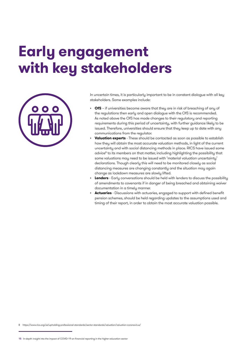## **Early engagement with key stakeholders**



In uncertain times, it is particularly important to be in constant dialogue with all key stakeholders. Some examples include:

- **OfS** if universities become aware that they are in risk of breaching of any of the regulations then early and open dialogue with the OfS is recommended. As noted above the OfS has made changes to their regulatory and reporting requirements during this period of uncertainty, with further guidance likely to be issued. Therefore, universities should ensure that they keep up to date with any communications from the regulator.
- **Valuation experts** These should be contacted as soon as possible to establish how they will obtain the most accurate valuation methods, in light of the current uncertainty and with social distancing methods in place. RICS have issued some advice<sup>8</sup> to its members on that matter, including highlighting the possibility that some valuations may need to be issued with 'material valuation uncertainty' declarations. Though clearly this will need to be monitored closely as social distancing measures are changing constantly and the situation may again change as lockdown measures are slowly lifted.
- **Lenders** Early conversations should be held with lenders to discuss the possibility of amendments to covenants if in danger of being breached and obtaining waiver documentation in a timely manner.
- **Actuaries** Discussions with actuaries, engaged to support with defined benefit pension schemes, should be held regarding updates to the assumptions used and timing of their report, in order to obtain the most accurate valuation possible.

8 https://www.rics.org/uk/upholding-professional-standards/sector-standards/valuation/valuation-coronavirus/

<sup>15</sup> In-depth insight into the impact of COVID-19 on financial reporting in the higher education sector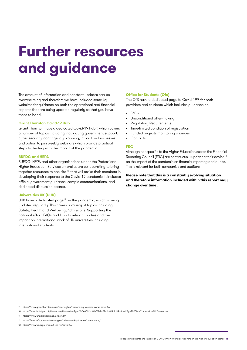## **Further resources and guidance**

The amount of information and constant updates can be overwhelming and therefore we have included some key websites for guidance on both the operational and financial aspects that are being updated regularly so that you have these to hand.

## **Grant Thornton Covid-19 Hub**

Grant Thornton have a dedicated Covid-19 hub <sup>9</sup>, which covers a number of topics including: navigating government support, cyber security, contingency planning, impact on businesses and option to join weekly webinars which provide practical steps to dealing with the impact of the pandemic.

## **BUFDG and HEPA**

BUFDG, HEPA and other organisations under the Professional Higher Education Services umbrella, are collaborating to bring together resources to one site 10 that will assist their members in developing their response to the Covid-19 pandemic. It includes official government guidance, sample communications, and dedicated discussion boards.

## **Universities UK (UUK)**

UUK have a dedicated page<sup>11</sup> on the pandemic, which is being updated regularly. This covers a variety of topics including: Safety, Health and Wellbeing, Admissions, Supporting the national effort, FAQs and links to relevant bodies and the impact on international work of UK universities including international students.

### **Office for Students (Ofs)**

The OfS have a dedicated page to Covid-1912 for both providers and students which includes guidance on:

- FAQs
- Unconditional offer-making
- Regulatory Requirements
- Time-limited condition of registration
- Funded projects monitoring changes
- Contacts

#### **FRC**

Although not specific to the Higher Education sector, the Financial Reporting Council (FRC) are continuously updating their advice<sup>13</sup> on the impact of the pandemic on financial reporting and audits. This is relevant for both companies and auditors.

**Please note that this is a constantly evolving situation and therefore information included within this report may change over time .** 

13 https://www.frc.org.uk/about-the-frc/covid-19/

<sup>9</sup> https://www.grantthornton.co.uk/en/insights/responding-to-coronavirus-covid-19/

<sup>10</sup> https://www.bufdg.ac.uk/Resources/News/View?g=a7c5e609-1af8-4767-9a59-c1cf4513d99d&m=2&y=2020&t=Coronavirus%20resources9d&m

<sup>11</sup> https://www.universitiesuk.ac.uk/covid19

<sup>12</sup> https://www.officeforstudents.org.uk/advice-and-guidance/coronavirus/